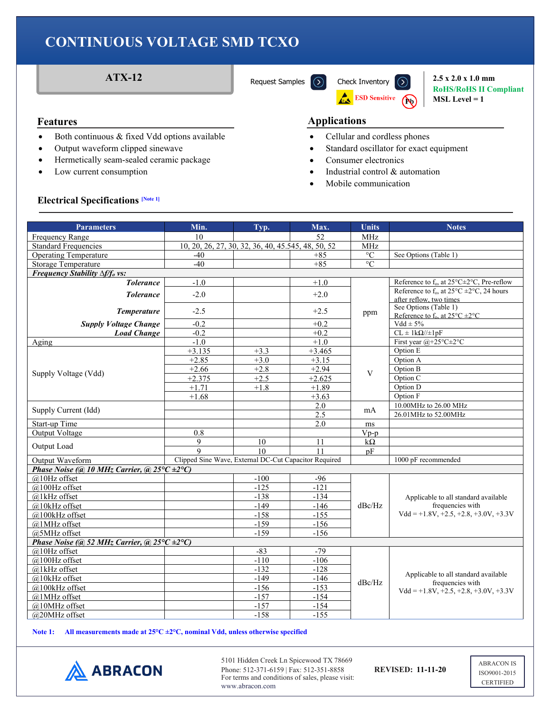

**RoHS/RoHS II Compliant MSL Level = 1**

- Both continuous & fixed Vdd options available
- Output waveform clipped sinewave
- Hermetically seam-sealed ceramic package
- Low current consumption

### **Features Applications**

- Cellular and cordless phones
- Standard oscillator for exact equipment
- Consumer electronics
- Industrial control & automation
- Mobile communication

#### **Electrical Specifications [Note 1]**

| <b>Parameters</b>                                                    | Min.                                                  | Typ.   | Max.       | <b>Units</b>      | <b>Notes</b>                                                                                        |  |
|----------------------------------------------------------------------|-------------------------------------------------------|--------|------------|-------------------|-----------------------------------------------------------------------------------------------------|--|
| Frequency Range                                                      | 10                                                    |        | 52         | <b>MHz</b>        |                                                                                                     |  |
| <b>Standard Frequencies</b>                                          | 10, 20, 26, 27, 30, 32, 36, 40, 45.545, 48, 50, 52    |        | <b>MHz</b> |                   |                                                                                                     |  |
| <b>Operating Temperature</b>                                         | $-40$                                                 |        | $+85$      | $^{\circ}{\rm C}$ | See Options (Table 1)                                                                               |  |
| <b>Storage Temperature</b>                                           | $-40$                                                 |        | $+85$      | $\circ$ C         |                                                                                                     |  |
| <b>Frequency Stability <math>\Delta f/f_0</math> vs:</b>             |                                                       |        |            |                   |                                                                                                     |  |
| <b>Tolerance</b>                                                     | $-1.0$                                                |        | $+1.0$     | ppm               | Reference to $f_0$ , at $25^{\circ}$ C $\pm$ 2°C, Pre-reflow                                        |  |
| <b>Tolerance</b>                                                     | $-2.0$                                                |        | $+2.0$     |                   | Reference to $f_0$ , at $25^{\circ}$ C $\pm 2^{\circ}$ C, 24 hours                                  |  |
|                                                                      |                                                       |        |            |                   | after reflow, two times                                                                             |  |
| <b>Temperature</b>                                                   | $-2.5$                                                |        | $+2.5$     |                   | See Options (Table 1)                                                                               |  |
| <b>Supply Voltage Change</b>                                         | $-0.2$                                                |        | $+0.2$     |                   | Reference to $f_0$ , at $25^{\circ}$ C $\pm 2^{\circ}$ C<br>$Vdd \pm 5\%$                           |  |
| <b>Load Change</b>                                                   | $-0.2$                                                |        | $+0.2$     |                   | $CL \pm 1k\Omega/\pm 1pF$                                                                           |  |
| Aging                                                                | $-1.0$                                                |        | $+1.0$     |                   | First year $@+25^{\circ}C+2^{\circ}C$                                                               |  |
|                                                                      | $+3.135$                                              | $+3.3$ | $+3.465$   |                   | Option E                                                                                            |  |
|                                                                      | $+2.85$                                               | $+3.0$ | $+3.15$    |                   | Option A                                                                                            |  |
|                                                                      | $+2.66$                                               | $+2.8$ | $+2.94$    |                   | Option B                                                                                            |  |
| Supply Voltage (Vdd)                                                 | $+2.375$                                              | $+2.5$ | $+2.625$   | V                 | Option C                                                                                            |  |
|                                                                      | $+1.71$                                               | $+1.8$ | $+1.89$    |                   | Option D                                                                                            |  |
|                                                                      | $+1.68$                                               |        | $+3.63$    |                   | Option F                                                                                            |  |
|                                                                      |                                                       |        | 2.0        |                   | 10.00MHz to 26.00 MHz                                                                               |  |
| Supply Current (Idd)                                                 |                                                       |        | 2.5        | mA                | 26.01MHz to 52.00MHz                                                                                |  |
| <b>Start-up Time</b>                                                 |                                                       |        | 2.0        | ms                |                                                                                                     |  |
| Output Voltage                                                       | 0.8                                                   |        |            | $Vp-p$            |                                                                                                     |  |
| Output Load                                                          | 9                                                     | 10     | 11         | $k\Omega$         |                                                                                                     |  |
|                                                                      | $\mathbf Q$                                           | 10     | 11         | pF                |                                                                                                     |  |
| Output Waveform                                                      | Clipped Sine Wave, External DC-Cut Capacitor Required |        |            |                   | 1000 pF recommended                                                                                 |  |
| Phase Noise (@ 10 MHz Carrier, @ $25^{\circ}C \pm 2^{\circ}C$ )      |                                                       |        |            |                   |                                                                                                     |  |
| $@10Hz$ offset                                                       |                                                       | $-100$ | $-96$      |                   |                                                                                                     |  |
| $@100Hz$ offset                                                      |                                                       | $-125$ | $-121$     |                   | Applicable to all standard available<br>frequencies with                                            |  |
| @1kHz offset                                                         |                                                       | $-138$ | $-134$     |                   |                                                                                                     |  |
| @10kHz offset                                                        |                                                       | $-149$ | $-146$     | dBc/Hz            |                                                                                                     |  |
| @100kHz offset                                                       |                                                       | $-158$ | $-155$     |                   | $Vdd = +1.8V, +2.5, +2.8, +3.0V, +3.3V$                                                             |  |
| @1MHz offset                                                         |                                                       | $-159$ | $-156$     |                   |                                                                                                     |  |
| @5MHz offset                                                         |                                                       | $-159$ | $-156$     |                   |                                                                                                     |  |
| Phase Noise (@ 52 MHz Carrier, @ 25 $\degree$ C $\pm$ 2 $\degree$ C) |                                                       |        |            |                   |                                                                                                     |  |
| @10Hz offset                                                         |                                                       | $-83$  | $-79$      |                   |                                                                                                     |  |
| @100Hz offset                                                        |                                                       | $-110$ | $-106$     |                   |                                                                                                     |  |
| @1kHz offset                                                         |                                                       | $-132$ | $-128$     | dBc/Hz            | Applicable to all standard available<br>frequencies with<br>$Vdd = +1.8V, +2.5, +2.8, +3.0V, +3.3V$ |  |
| @10kHz offset                                                        |                                                       | $-149$ | $-146$     |                   |                                                                                                     |  |
| @100kHz offset                                                       |                                                       | $-156$ | $-153$     |                   |                                                                                                     |  |
| @1MHz offset                                                         |                                                       | $-157$ | $-154$     |                   |                                                                                                     |  |
| @10MHz offset                                                        |                                                       | $-157$ | $-154$     |                   |                                                                                                     |  |
| @20MHz offset                                                        |                                                       | $-158$ | $-155$     |                   |                                                                                                     |  |

**Note 1: All measurements made at 25°C ±2°C, nominal Vdd, unless otherwise specified**



5101 Hidden Creek Ln Spicewood TX 78669 Phone: 512-371-6159 | Fax: 512-351-8858 **REVISED: 11-11-20** For terms and conditions of sales, please visit: www.abracon.com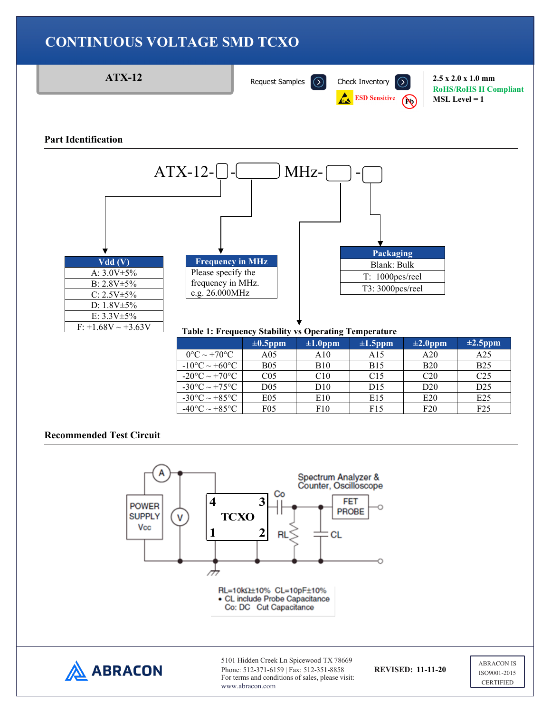



www.abracon.com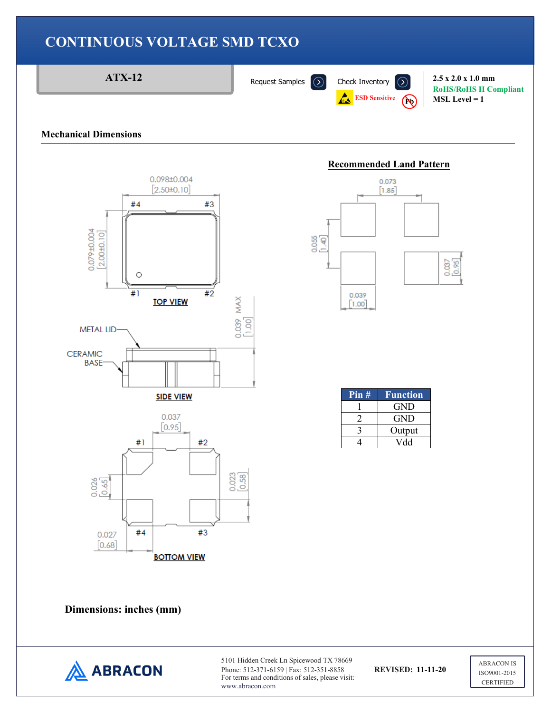

### **Mechanical Dimensions**



#### **Recommended Land Pattern**



| Pin# | Function   |
|------|------------|
|      | <b>GND</b> |
|      | GND        |
|      | Output     |
|      | Vdd        |

**Dimensions: inches (mm)** 



5101 Hidden Creek Ln Spicewood TX 78669 Phone: 512-371-6159 | Fax: 512-351-8858 **REVISED: 11-11-20** For terms and conditions of sales, please visit: www.abracon.com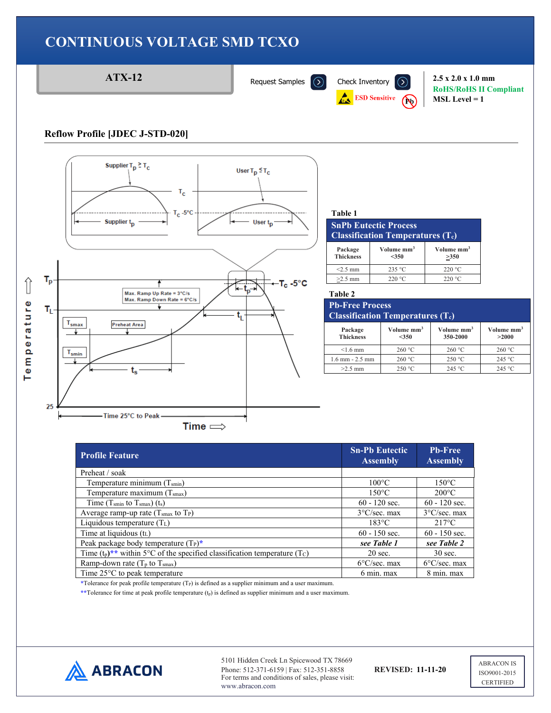

| <b>SnPh Eutectic Process</b><br><b>Classification Temperatures <math>(T_c)</math></b> |                                   |                                |  |  |
|---------------------------------------------------------------------------------------|-----------------------------------|--------------------------------|--|--|
| Package<br><b>Thickness</b>                                                           | Volume mm <sup>3</sup><br>$<$ 350 | Volume mm <sup>3</sup><br>>350 |  |  |
| $<2.5$ mm                                                                             | 235 °C                            | 220 °C                         |  |  |
| $>2.5$ mm                                                                             | 220 °C                            | 220 °C                         |  |  |

# **Classification Temperatures (Tc)**

| Package<br><b>Thickness</b> | Volume mm <sup>3</sup><br>$<$ 350 | Volume mm <sup>3</sup><br>350-2000 | Volume mm <sup>3</sup><br>>2000 |
|-----------------------------|-----------------------------------|------------------------------------|---------------------------------|
| $\leq 1.6$ mm               | 260 °C                            | 260 °C                             | 260 °C                          |
| $1.6$ mm $- 2.5$ mm         | 260 °C                            | 250 °C                             | 245 °C                          |
| $>2.5$ mm                   | 250 °C                            | 245 °C                             | 245 °C                          |

**RoHS/RoHS II Compliant**

**MSL Level = 1**

| <b>Profile Feature</b>                                                                              | <b>Sn-Pb Eutectic</b><br><b>Assembly</b> | <b>Pb-Free</b><br><b>Assembly</b> |
|-----------------------------------------------------------------------------------------------------|------------------------------------------|-----------------------------------|
| Preheat / soak                                                                                      |                                          |                                   |
| Temperature minimum $(T_{smin})$                                                                    | $100^{\circ}$ C                          | $150^{\circ}$ C                   |
| Temperature maximum $(Tsmax)$                                                                       | $150^{\circ}$ C                          | $200^{\circ}$ C                   |
| Time $(T_{\text{smin}}$ to $T_{\text{smax}})$ $(t_s)$                                               | $60 - 120$ sec.                          | $60 - 120$ sec.                   |
| Average ramp-up rate $(Tsmax$ to $TP)$                                                              | $3^{\circ}$ C/sec. max                   | $3^{\circ}$ C/sec. max            |
| Liquidous temperature $(T_L)$                                                                       | $183^{\circ}$ C                          | $217^{\circ}$ C                   |
| Time at liquidous $(t_L)$                                                                           | $60 - 150$ sec.                          | $60 - 150$ sec.                   |
| Peak package body temperature $(T_P)^*$                                                             | see Table 1                              | see Table 2                       |
| Time $(t_p)$ <sup>**</sup> within 5°C of the specified classification temperature (T <sub>C</sub> ) | $20 \text{ sec.}$                        | $30$ sec.                         |
| Ramp-down rate $(T_p$ to $T_{smax}$ )                                                               | $6^{\circ}$ C/sec. max                   | $6^{\circ}$ C/sec. max            |
| Time $25^{\circ}$ C to peak temperature                                                             | 6 min. max                               | 8 min. max                        |

\*Tolerance for peak profile temperature (T<sub>P</sub>) is defined as a supplier minimum and a user maximum.

\*\*Tolerance for time at peak profile temperature (t<sub>p</sub>) is defined as supplier minimum and a user maximum.



5101 Hidden Creek Ln Spicewood TX 78669 Phone: 512-371-6159 | Fax: 512-351-8858 **REVISED: 11-11-20** For terms and conditions of sales, please visit: www.abracon.com